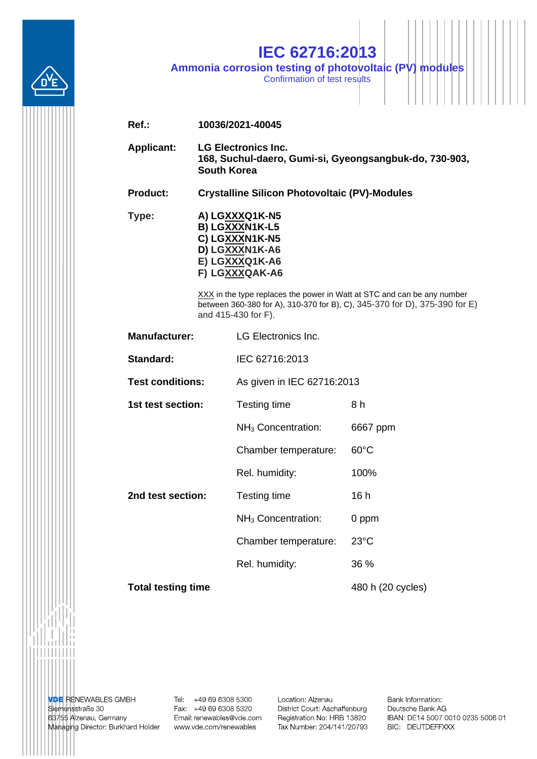

## **IEC 62716:2013**

**Ammonia corrosion testing of photovoltaic (PV) modules**

Confirmation of test results

| $Ref.$ :                  | 10036/2021-40045                                                                                                                                                             |                                |                   |  |  |  |  |
|---------------------------|------------------------------------------------------------------------------------------------------------------------------------------------------------------------------|--------------------------------|-------------------|--|--|--|--|
| <b>Applicant:</b>         | <b>LG Electronics Inc.</b><br>168, Suchul-daero, Gumi-si, Gyeongsangbuk-do, 730-903,<br><b>South Korea</b>                                                                   |                                |                   |  |  |  |  |
| <b>Product:</b>           | <b>Crystalline Silicon Photovoltaic (PV)-Modules</b>                                                                                                                         |                                |                   |  |  |  |  |
| Type:                     | A) LGXXXQ1K-N5<br>B) LGXXXN1K-L5<br>C) LGXXXN1K-N5<br>D) LGXXXN1K-A6<br>E) LGXXXQ1K-A6<br>F) LGXXXQAK-A6                                                                     |                                |                   |  |  |  |  |
|                           | XXX in the type replaces the power in Watt at STC and can be any number<br>between 360-380 for A), 310-370 for B), C), 345-370 for D), 375-390 for E)<br>and 415-430 for F). |                                |                   |  |  |  |  |
| <b>Manufacturer:</b>      |                                                                                                                                                                              | <b>LG Electronics Inc.</b>     |                   |  |  |  |  |
| Standard:                 |                                                                                                                                                                              | IEC 62716:2013                 |                   |  |  |  |  |
| <b>Test conditions:</b>   |                                                                                                                                                                              | As given in IEC 62716:2013     |                   |  |  |  |  |
| 1st test section:         |                                                                                                                                                                              | Testing time                   | 8 h               |  |  |  |  |
|                           |                                                                                                                                                                              | NH <sub>3</sub> Concentration: | 6667 ppm          |  |  |  |  |
|                           |                                                                                                                                                                              | Chamber temperature:           | $60^{\circ}$ C    |  |  |  |  |
|                           |                                                                                                                                                                              | Rel. humidity:                 | 100%              |  |  |  |  |
| 2nd test section:         |                                                                                                                                                                              | Testing time                   | 16h               |  |  |  |  |
|                           |                                                                                                                                                                              | NH <sub>3</sub> Concentration: | 0 ppm             |  |  |  |  |
|                           |                                                                                                                                                                              | Chamber temperature:           | $23^{\circ}$ C    |  |  |  |  |
|                           |                                                                                                                                                                              | Rel. humidity:                 | 36 %              |  |  |  |  |
| <b>Total testing time</b> |                                                                                                                                                                              |                                | 480 h (20 cycles) |  |  |  |  |

. . . . . . . . .

**VDE RENEWABLES GMBH**<br>Siemensstraße 30 63755 Alzenau, Germany Managing Director: Burkhard Holder Tel: +49 69 6308 5300<br>Fax: +49 69 6308 5320 Email: renewables@vde.com www.vde.com/renewables

Location: Alzenau District Court: Aschaffenburg Registration No: HRB 13820 Tax Number: 204/141/20793 Bank Information: Deutsche Bank AG IBAN: DE14 5007 0010 0235 5006 01 BIC: DEUTDEFFXXX